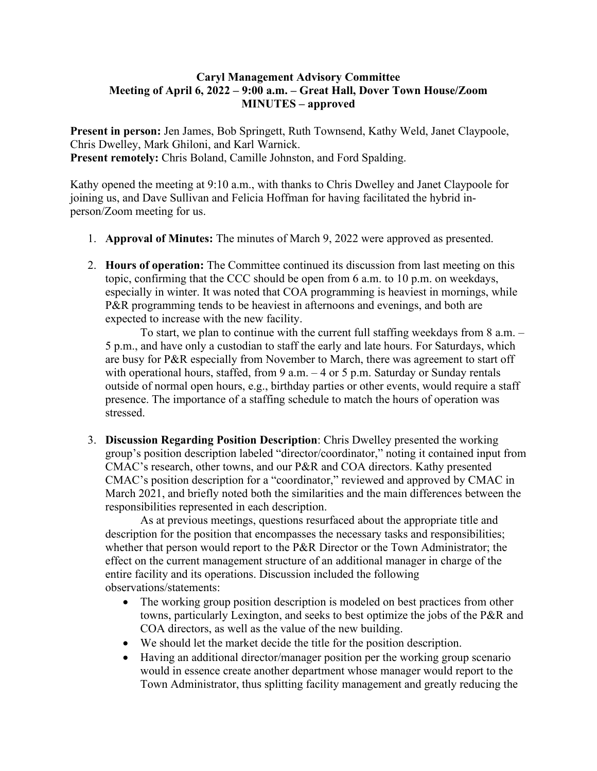## **Caryl Management Advisory Committee Meeting of April 6, 2022 – 9:00 a.m. – Great Hall, Dover Town House/Zoom MINUTES – approved**

**Present in person:** Jen James, Bob Springett, Ruth Townsend, Kathy Weld, Janet Claypoole, Chris Dwelley, Mark Ghiloni, and Karl Warnick. **Present remotely:** Chris Boland, Camille Johnston, and Ford Spalding.

Kathy opened the meeting at 9:10 a.m., with thanks to Chris Dwelley and Janet Claypoole for joining us, and Dave Sullivan and Felicia Hoffman for having facilitated the hybrid inperson/Zoom meeting for us.

- 1. **Approval of Minutes:** The minutes of March 9, 2022 were approved as presented.
- 2. **Hours of operation:** The Committee continued its discussion from last meeting on this topic, confirming that the CCC should be open from 6 a.m. to 10 p.m. on weekdays, especially in winter. It was noted that COA programming is heaviest in mornings, while P&R programming tends to be heaviest in afternoons and evenings, and both are expected to increase with the new facility.

To start, we plan to continue with the current full staffing weekdays from 8 a.m. – 5 p.m., and have only a custodian to staff the early and late hours. For Saturdays, which are busy for P&R especially from November to March, there was agreement to start off with operational hours, staffed, from  $9$  a.m.  $-4$  or  $5$  p.m. Saturday or Sunday rentals outside of normal open hours, e.g., birthday parties or other events, would require a staff presence. The importance of a staffing schedule to match the hours of operation was stressed.

3. **Discussion Regarding Position Description**: Chris Dwelley presented the working group's position description labeled "director/coordinator," noting it contained input from CMAC's research, other towns, and our P&R and COA directors. Kathy presented CMAC's position description for a "coordinator," reviewed and approved by CMAC in March 2021, and briefly noted both the similarities and the main differences between the responsibilities represented in each description.

As at previous meetings, questions resurfaced about the appropriate title and description for the position that encompasses the necessary tasks and responsibilities; whether that person would report to the P&R Director or the Town Administrator; the effect on the current management structure of an additional manager in charge of the entire facility and its operations. Discussion included the following observations/statements:

- The working group position description is modeled on best practices from other towns, particularly Lexington, and seeks to best optimize the jobs of the P&R and COA directors, as well as the value of the new building.
- We should let the market decide the title for the position description.
- Having an additional director/manager position per the working group scenario would in essence create another department whose manager would report to the Town Administrator, thus splitting facility management and greatly reducing the